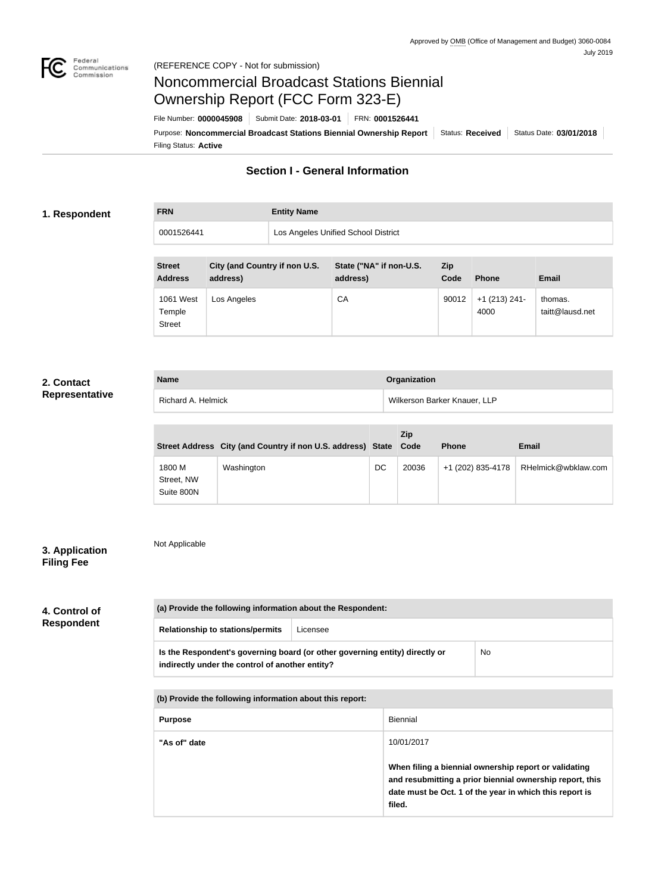

# Noncommercial Broadcast Stations Biennial Ownership Report (FCC Form 323-E)

Filing Status: **Active** Purpose: Noncommercial Broadcast Stations Biennial Ownership Report | Status: Received | Status Date: 03/01/2018 File Number: **0000045908** Submit Date: **2018-03-01** FRN: **0001526441**

# **Section I - General Information**

### **1. Respondent**

**FRN Entity Name**

0001526441 Los Angeles Unified School District

| <b>Street</b><br><b>Address</b>      | City (and Country if non U.S.<br>address) | State ("NA" if non-U.S.<br>address) | Zip<br>Code | <b>Phone</b>            | <b>Email</b>               |
|--------------------------------------|-------------------------------------------|-------------------------------------|-------------|-------------------------|----------------------------|
| 1061 West<br>Temple<br><b>Street</b> | Los Angeles                               | CA                                  | 90012       | $+1$ (213) 241-<br>4000 | thomas.<br>taitt@lausd.net |

### **2. Contact Representative**

| <b>Name</b>        | Organization                 |
|--------------------|------------------------------|
| Richard A. Helmick | Wilkerson Barker Knauer, LLP |

|                                    | Street Address City (and Country if non U.S. address) State Code |    | Zip   | <b>Phone</b>      | <b>Email</b>        |
|------------------------------------|------------------------------------------------------------------|----|-------|-------------------|---------------------|
| 1800 M<br>Street, NW<br>Suite 800N | Washington                                                       | DC | 20036 | +1 (202) 835-4178 | RHelmick@wbklaw.com |

# **3. Application Filing Fee**

Not Applicable

# **4. Control of Respondent**

| (a) Provide the following information about the Respondent:                                                                    |          |           |
|--------------------------------------------------------------------------------------------------------------------------------|----------|-----------|
| <b>Relationship to stations/permits</b>                                                                                        | Licensee |           |
| Is the Respondent's governing board (or other governing entity) directly or<br>indirectly under the control of another entity? |          | <b>No</b> |

**(b) Provide the following information about this report:**

| <b>Purpose</b> | <b>Biennial</b>                                                                                                                                                                                      |
|----------------|------------------------------------------------------------------------------------------------------------------------------------------------------------------------------------------------------|
| "As of" date   | 10/01/2017<br>When filing a biennial ownership report or validating<br>and resubmitting a prior biennial ownership report, this<br>date must be Oct. 1 of the year in which this report is<br>filed. |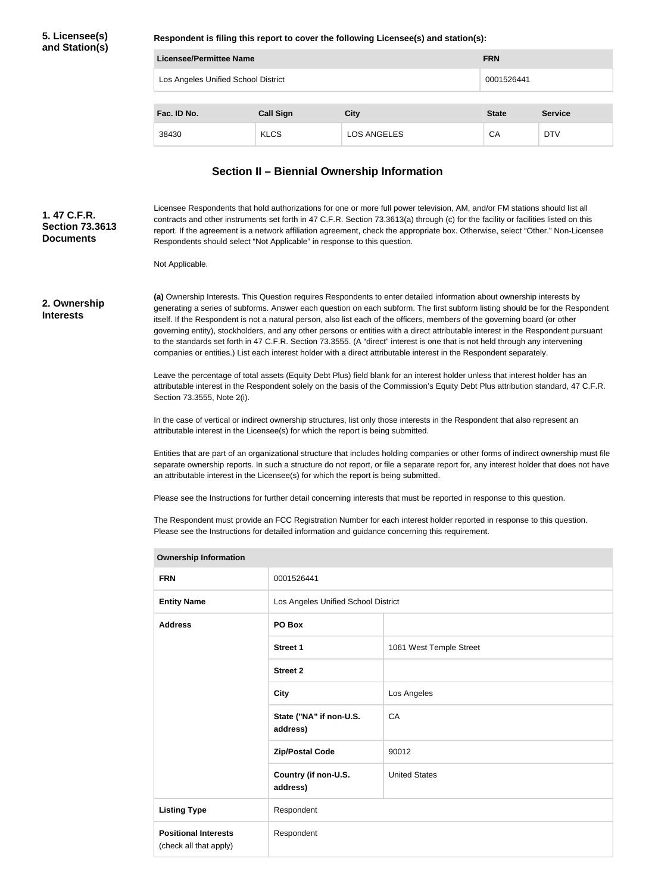### **5. Licensee(s) and Station(s)**

**Respondent is filing this report to cover the following Licensee(s) and station(s):**

| Licensee/Permittee Name                           |                  | <b>FRN</b>         |              |                |
|---------------------------------------------------|------------------|--------------------|--------------|----------------|
| Los Angeles Unified School District<br>0001526441 |                  |                    |              |                |
|                                                   |                  |                    |              |                |
| Fac. ID No.                                       | <b>Call Sign</b> | <b>City</b>        | <b>State</b> | <b>Service</b> |
| 38430                                             | <b>KLCS</b>      | <b>LOS ANGELES</b> | CA           | <b>DTV</b>     |

# **Section II – Biennial Ownership Information**

Licensee Respondents that hold authorizations for one or more full power television, AM, and/or FM stations should list all contracts and other instruments set forth in 47 C.F.R. Section 73.3613(a) through (c) for the facility or facilities listed on this report. If the agreement is a network affiliation agreement, check the appropriate box. Otherwise, select "Other." Non-Licensee Respondents should select "Not Applicable" in response to this question. **Section 73.3613** 

Not Applicable.

#### **2. Ownership Interests**

**1. 47 C.F.R.** 

**Documents**

**(a)** Ownership Interests. This Question requires Respondents to enter detailed information about ownership interests by generating a series of subforms. Answer each question on each subform. The first subform listing should be for the Respondent itself. If the Respondent is not a natural person, also list each of the officers, members of the governing board (or other governing entity), stockholders, and any other persons or entities with a direct attributable interest in the Respondent pursuant to the standards set forth in 47 C.F.R. Section 73.3555. (A "direct" interest is one that is not held through any intervening companies or entities.) List each interest holder with a direct attributable interest in the Respondent separately.

Leave the percentage of total assets (Equity Debt Plus) field blank for an interest holder unless that interest holder has an attributable interest in the Respondent solely on the basis of the Commission's Equity Debt Plus attribution standard, 47 C.F.R. Section 73.3555, Note 2(i).

In the case of vertical or indirect ownership structures, list only those interests in the Respondent that also represent an attributable interest in the Licensee(s) for which the report is being submitted.

Entities that are part of an organizational structure that includes holding companies or other forms of indirect ownership must file separate ownership reports. In such a structure do not report, or file a separate report for, any interest holder that does not have an attributable interest in the Licensee(s) for which the report is being submitted.

Please see the Instructions for further detail concerning interests that must be reported in response to this question.

The Respondent must provide an FCC Registration Number for each interest holder reported in response to this question. Please see the Instructions for detailed information and guidance concerning this requirement.

| <b>Ownership Information</b>                          |                                     |                         |  |
|-------------------------------------------------------|-------------------------------------|-------------------------|--|
| <b>FRN</b>                                            | 0001526441                          |                         |  |
| <b>Entity Name</b>                                    | Los Angeles Unified School District |                         |  |
| <b>Address</b>                                        | PO Box                              |                         |  |
|                                                       | Street 1                            | 1061 West Temple Street |  |
|                                                       | <b>Street 2</b>                     |                         |  |
|                                                       | <b>City</b>                         | Los Angeles             |  |
|                                                       | State ("NA" if non-U.S.<br>address) | CA                      |  |
|                                                       | <b>Zip/Postal Code</b>              | 90012                   |  |
|                                                       | Country (if non-U.S.<br>address)    | <b>United States</b>    |  |
| <b>Listing Type</b>                                   | Respondent                          |                         |  |
| <b>Positional Interests</b><br>(check all that apply) | Respondent                          |                         |  |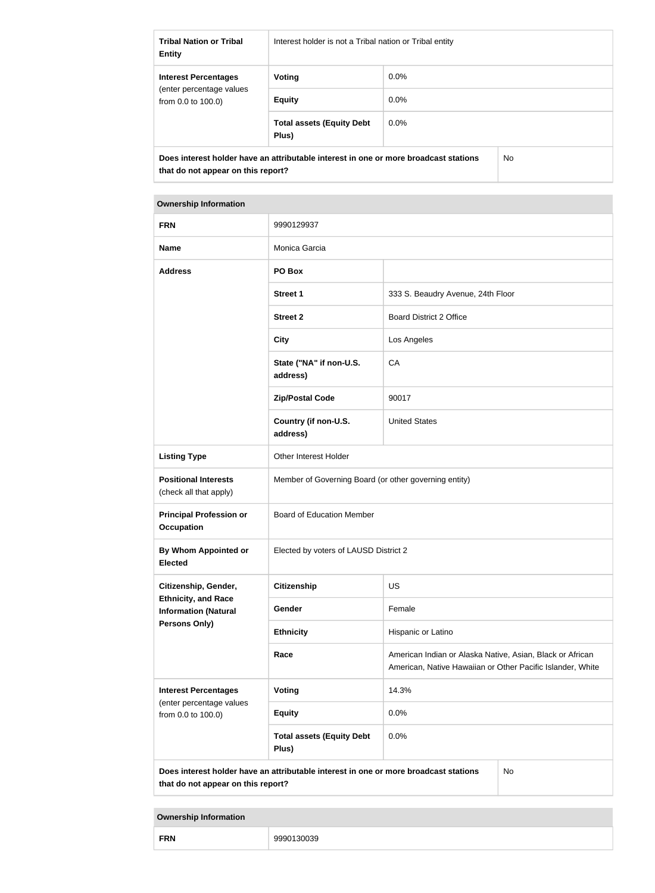| <b>Tribal Nation or Tribal</b><br><b>Entity</b>                                                                                   | Interest holder is not a Tribal nation or Tribal entity |         |  |
|-----------------------------------------------------------------------------------------------------------------------------------|---------------------------------------------------------|---------|--|
| <b>Interest Percentages</b>                                                                                                       | Voting                                                  | $0.0\%$ |  |
| (enter percentage values)<br>from $0.0$ to $100.0$ )                                                                              | <b>Equity</b>                                           | $0.0\%$ |  |
|                                                                                                                                   | <b>Total assets (Equity Debt</b><br>Plus)               | $0.0\%$ |  |
| Does interest holder have an attributable interest in one or more broadcast stations<br>No.<br>that do not appear on this report? |                                                         |         |  |

| <b>Ownership Information</b>                              |                                                                                      |                                                                                                                         |           |
|-----------------------------------------------------------|--------------------------------------------------------------------------------------|-------------------------------------------------------------------------------------------------------------------------|-----------|
| <b>FRN</b>                                                | 9990129937                                                                           |                                                                                                                         |           |
| <b>Name</b>                                               | Monica Garcia                                                                        |                                                                                                                         |           |
| <b>Address</b>                                            | PO Box                                                                               |                                                                                                                         |           |
|                                                           | <b>Street 1</b>                                                                      | 333 S. Beaudry Avenue, 24th Floor                                                                                       |           |
|                                                           | <b>Street 2</b>                                                                      | <b>Board District 2 Office</b>                                                                                          |           |
|                                                           | <b>City</b>                                                                          | Los Angeles                                                                                                             |           |
|                                                           | State ("NA" if non-U.S.<br>address)                                                  | CA                                                                                                                      |           |
|                                                           | <b>Zip/Postal Code</b>                                                               | 90017                                                                                                                   |           |
|                                                           | Country (if non-U.S.<br>address)                                                     | <b>United States</b>                                                                                                    |           |
| <b>Listing Type</b>                                       | Other Interest Holder                                                                |                                                                                                                         |           |
| <b>Positional Interests</b><br>(check all that apply)     | Member of Governing Board (or other governing entity)                                |                                                                                                                         |           |
| <b>Principal Profession or</b><br><b>Occupation</b>       | <b>Board of Education Member</b>                                                     |                                                                                                                         |           |
| By Whom Appointed or<br><b>Elected</b>                    | Elected by voters of LAUSD District 2                                                |                                                                                                                         |           |
| Citizenship, Gender,                                      | <b>Citizenship</b>                                                                   | <b>US</b>                                                                                                               |           |
| <b>Ethnicity, and Race</b><br><b>Information (Natural</b> | Gender                                                                               | Female                                                                                                                  |           |
| Persons Only)                                             | <b>Ethnicity</b>                                                                     | Hispanic or Latino                                                                                                      |           |
|                                                           | Race                                                                                 | American Indian or Alaska Native, Asian, Black or African<br>American, Native Hawaiian or Other Pacific Islander, White |           |
| <b>Interest Percentages</b>                               | Voting                                                                               | 14.3%                                                                                                                   |           |
| (enter percentage values<br>from 0.0 to 100.0)            | <b>Equity</b>                                                                        | 0.0%                                                                                                                    |           |
|                                                           | <b>Total assets (Equity Debt</b><br>Plus)                                            | 0.0%                                                                                                                    |           |
| that do not appear on this report?                        | Does interest holder have an attributable interest in one or more broadcast stations |                                                                                                                         | <b>No</b> |

**Ownership Information**

**FRN** 9990130039

| 9990130039 |
|------------|
|            |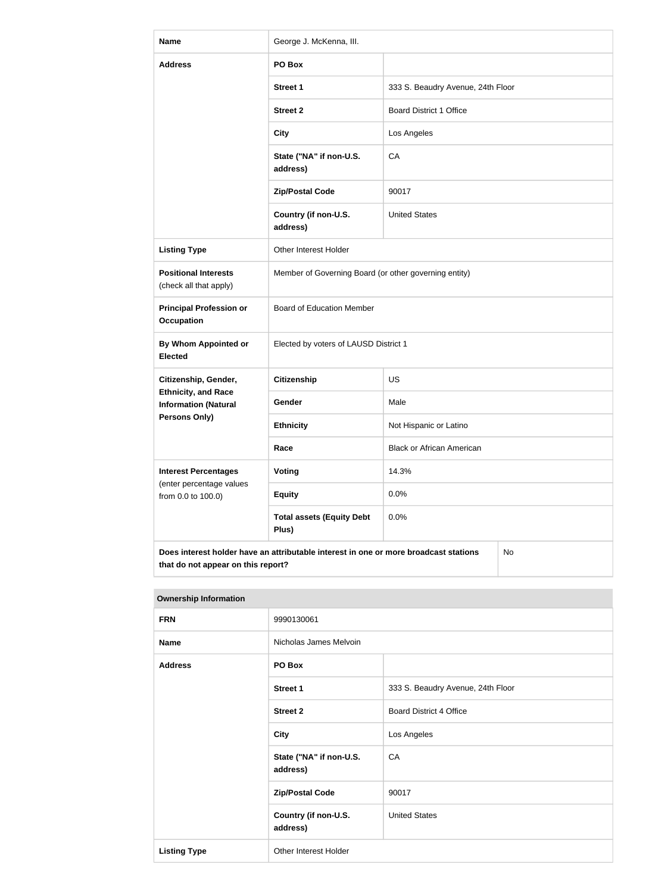| <b>Name</b>                                                                                                                             | George J. McKenna, III.                               |                                   |  |
|-----------------------------------------------------------------------------------------------------------------------------------------|-------------------------------------------------------|-----------------------------------|--|
| <b>Address</b>                                                                                                                          | PO Box                                                |                                   |  |
|                                                                                                                                         | <b>Street 1</b>                                       | 333 S. Beaudry Avenue, 24th Floor |  |
|                                                                                                                                         | <b>Street 2</b>                                       | <b>Board District 1 Office</b>    |  |
|                                                                                                                                         | <b>City</b>                                           | Los Angeles                       |  |
|                                                                                                                                         | State ("NA" if non-U.S.<br>address)                   | CA                                |  |
|                                                                                                                                         | <b>Zip/Postal Code</b>                                | 90017                             |  |
|                                                                                                                                         | Country (if non-U.S.<br>address)                      | <b>United States</b>              |  |
| <b>Listing Type</b>                                                                                                                     | Other Interest Holder                                 |                                   |  |
| <b>Positional Interests</b><br>(check all that apply)                                                                                   | Member of Governing Board (or other governing entity) |                                   |  |
| <b>Principal Profession or</b><br><b>Occupation</b>                                                                                     | <b>Board of Education Member</b>                      |                                   |  |
| <b>By Whom Appointed or</b><br><b>Elected</b>                                                                                           | Elected by voters of LAUSD District 1                 |                                   |  |
| Citizenship, Gender,                                                                                                                    | <b>Citizenship</b>                                    | US                                |  |
| <b>Ethnicity, and Race</b><br><b>Information (Natural</b>                                                                               | Gender                                                | Male                              |  |
| <b>Persons Only)</b>                                                                                                                    | <b>Ethnicity</b>                                      | Not Hispanic or Latino            |  |
|                                                                                                                                         | Race                                                  | <b>Black or African American</b>  |  |
| <b>Interest Percentages</b><br>(enter percentage values                                                                                 | <b>Voting</b>                                         | 14.3%                             |  |
| from 0.0 to 100.0)                                                                                                                      | <b>Equity</b>                                         | 0.0%                              |  |
|                                                                                                                                         | <b>Total assets (Equity Debt</b><br>Plus)             | 0.0%                              |  |
| Does interest holder have an attributable interest in one or more broadcast stations<br><b>No</b><br>that do not appear on this report? |                                                       |                                   |  |

| <b>Ownership Information</b> |                                     |                                   |
|------------------------------|-------------------------------------|-----------------------------------|
| <b>FRN</b>                   | 9990130061                          |                                   |
| <b>Name</b>                  | Nicholas James Melvoin              |                                   |
| <b>Address</b>               | PO Box                              |                                   |
|                              | Street 1                            | 333 S. Beaudry Avenue, 24th Floor |
|                              | <b>Street 2</b>                     | <b>Board District 4 Office</b>    |
|                              | <b>City</b>                         | Los Angeles                       |
|                              | State ("NA" if non-U.S.<br>address) | CA                                |
|                              | <b>Zip/Postal Code</b>              | 90017                             |
|                              | Country (if non-U.S.<br>address)    | <b>United States</b>              |
| <b>Listing Type</b>          | Other Interest Holder               |                                   |

#### **Ownership Information**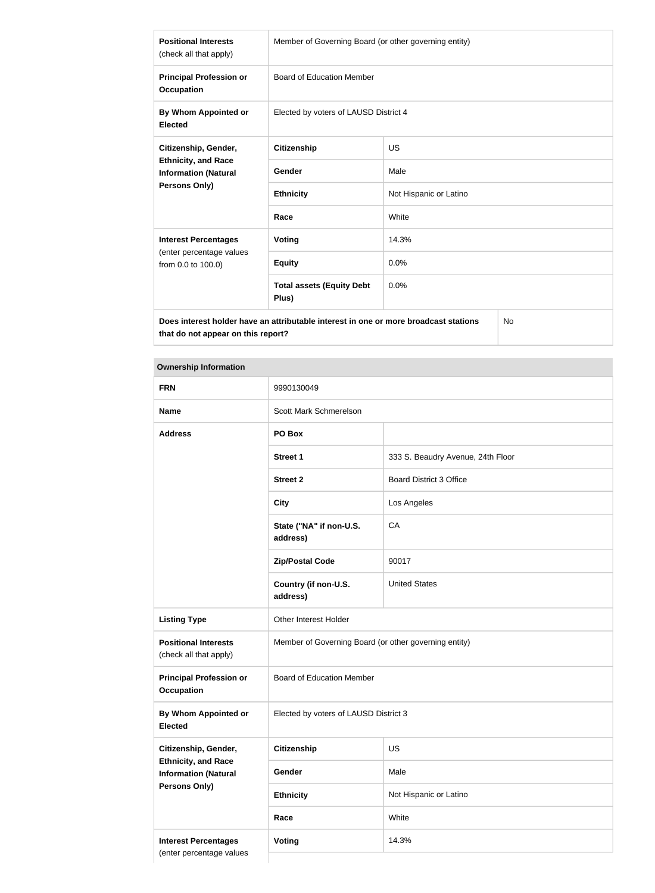| <b>Positional Interests</b><br>(check all that apply)                                                     | Member of Governing Board (or other governing entity) |                        |  |
|-----------------------------------------------------------------------------------------------------------|-------------------------------------------------------|------------------------|--|
| <b>Principal Profession or</b><br><b>Occupation</b>                                                       | <b>Board of Education Member</b>                      |                        |  |
| By Whom Appointed or<br><b>Elected</b>                                                                    | Elected by voters of LAUSD District 4                 |                        |  |
| Citizenship, Gender,<br><b>Ethnicity, and Race</b><br><b>Information (Natural</b><br><b>Persons Only)</b> | <b>Citizenship</b>                                    | US.                    |  |
|                                                                                                           | <b>Gender</b>                                         | Male                   |  |
|                                                                                                           | <b>Ethnicity</b>                                      | Not Hispanic or Latino |  |
|                                                                                                           | Race                                                  | White                  |  |
| <b>Interest Percentages</b><br>(enter percentage values<br>from 0.0 to 100.0)                             | <b>Voting</b>                                         | 14.3%                  |  |
|                                                                                                           | <b>Equity</b>                                         | 0.0%                   |  |
|                                                                                                           | <b>Total assets (Equity Debt</b><br>Plus)             | 0.0%                   |  |
| Does interest holder have an attributable interest in one or more broadcast stations<br>No.               |                                                       |                        |  |

**Does interest holder have an attributable interest in one or more broadcast stations that do not appear on this report?**

# **Ownership Information**

| <b>FRN</b>                                                                        | 9990130049                                            |                                   |
|-----------------------------------------------------------------------------------|-------------------------------------------------------|-----------------------------------|
| <b>Name</b>                                                                       | Scott Mark Schmerelson                                |                                   |
| <b>Address</b>                                                                    | PO Box                                                |                                   |
|                                                                                   | <b>Street 1</b>                                       | 333 S. Beaudry Avenue, 24th Floor |
|                                                                                   | <b>Street 2</b>                                       | <b>Board District 3 Office</b>    |
|                                                                                   | <b>City</b>                                           | Los Angeles                       |
|                                                                                   | State ("NA" if non-U.S.<br>address)                   | CA                                |
|                                                                                   | <b>Zip/Postal Code</b>                                | 90017                             |
|                                                                                   | Country (if non-U.S.<br>address)                      | <b>United States</b>              |
| <b>Listing Type</b>                                                               | Other Interest Holder                                 |                                   |
| <b>Positional Interests</b><br>(check all that apply)                             | Member of Governing Board (or other governing entity) |                                   |
| <b>Principal Profession or</b><br><b>Occupation</b>                               | <b>Board of Education Member</b>                      |                                   |
| <b>By Whom Appointed or</b><br><b>Elected</b>                                     | Elected by voters of LAUSD District 3                 |                                   |
| Citizenship, Gender,                                                              | <b>Citizenship</b>                                    | US                                |
| <b>Ethnicity, and Race</b><br><b>Information (Natural</b><br><b>Persons Only)</b> | Gender                                                | Male                              |
|                                                                                   | <b>Ethnicity</b>                                      | Not Hispanic or Latino            |
|                                                                                   | Race                                                  | White                             |
| <b>Interest Percentages</b><br>Voting<br>14.3%                                    |                                                       |                                   |
| (enter percentage values                                                          |                                                       |                                   |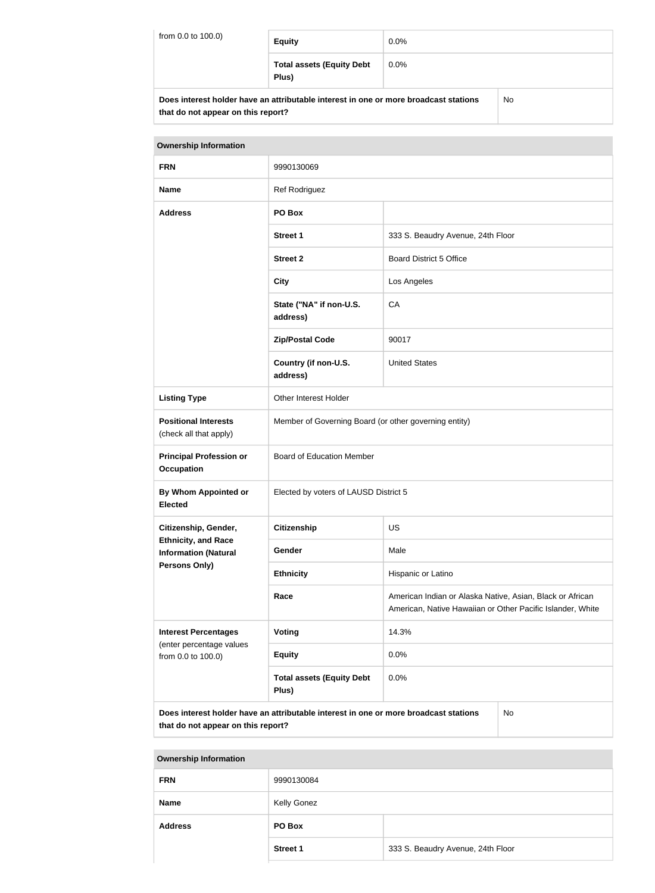| from 0.0 to 100.0)                                                                          | <b>Equity</b>                             | $0.0\%$ |  |
|---------------------------------------------------------------------------------------------|-------------------------------------------|---------|--|
|                                                                                             | <b>Total assets (Equity Debt</b><br>Plus) | $0.0\%$ |  |
| Does interest holder have an attributable interest in one or more broadcast stations<br>No. |                                           |         |  |

| <u>DUES INCICSI NUIUCI NAVE AN AINDUIADIC INCICSI IN UNC UN INUIC DI UAUCASI SIANUNS</u> |  |
|------------------------------------------------------------------------------------------|--|
| that do not appear on this report?                                                       |  |

| <b>Ownership Information</b>                              |                                                                                                                                 |                                   |  |
|-----------------------------------------------------------|---------------------------------------------------------------------------------------------------------------------------------|-----------------------------------|--|
| <b>FRN</b>                                                | 9990130069                                                                                                                      |                                   |  |
| <b>Name</b>                                               | Ref Rodriguez                                                                                                                   |                                   |  |
| <b>Address</b>                                            | PO Box                                                                                                                          |                                   |  |
|                                                           | <b>Street 1</b>                                                                                                                 | 333 S. Beaudry Avenue, 24th Floor |  |
|                                                           | <b>Street 2</b>                                                                                                                 | <b>Board District 5 Office</b>    |  |
|                                                           | <b>City</b>                                                                                                                     | Los Angeles                       |  |
|                                                           | State ("NA" if non-U.S.<br>address)                                                                                             | CA                                |  |
|                                                           | <b>Zip/Postal Code</b>                                                                                                          | 90017                             |  |
|                                                           | Country (if non-U.S.<br>address)                                                                                                | <b>United States</b>              |  |
| <b>Listing Type</b>                                       | Other Interest Holder                                                                                                           |                                   |  |
| <b>Positional Interests</b><br>(check all that apply)     | Member of Governing Board (or other governing entity)                                                                           |                                   |  |
| <b>Principal Profession or</b><br><b>Occupation</b>       | <b>Board of Education Member</b>                                                                                                |                                   |  |
| By Whom Appointed or<br><b>Elected</b>                    | Elected by voters of LAUSD District 5                                                                                           |                                   |  |
| Citizenship, Gender,                                      | <b>Citizenship</b><br>US                                                                                                        |                                   |  |
| <b>Ethnicity, and Race</b><br><b>Information (Natural</b> | Gender                                                                                                                          | Male                              |  |
| <b>Persons Only)</b>                                      | <b>Ethnicity</b>                                                                                                                | Hispanic or Latino                |  |
|                                                           | Race<br>American Indian or Alaska Native, Asian, Black or African<br>American, Native Hawaiian or Other Pacific Islander, White |                                   |  |
| <b>Interest Percentages</b>                               | Voting                                                                                                                          | 14.3%                             |  |
| (enter percentage values<br>from 0.0 to 100.0)            | <b>Equity</b>                                                                                                                   | 0.0%                              |  |
|                                                           | <b>Total assets (Equity Debt</b><br>Plus)                                                                                       | 0.0%                              |  |

**Does interest holder have an attributable interest in one or more broadcast stations that do not appear on this report?**

No

**Ownership Information FRN** 9990130084 **Name** Kelly Gonez **Address PO Box Street 1** 333 S. Beaudry Avenue, 24th Floor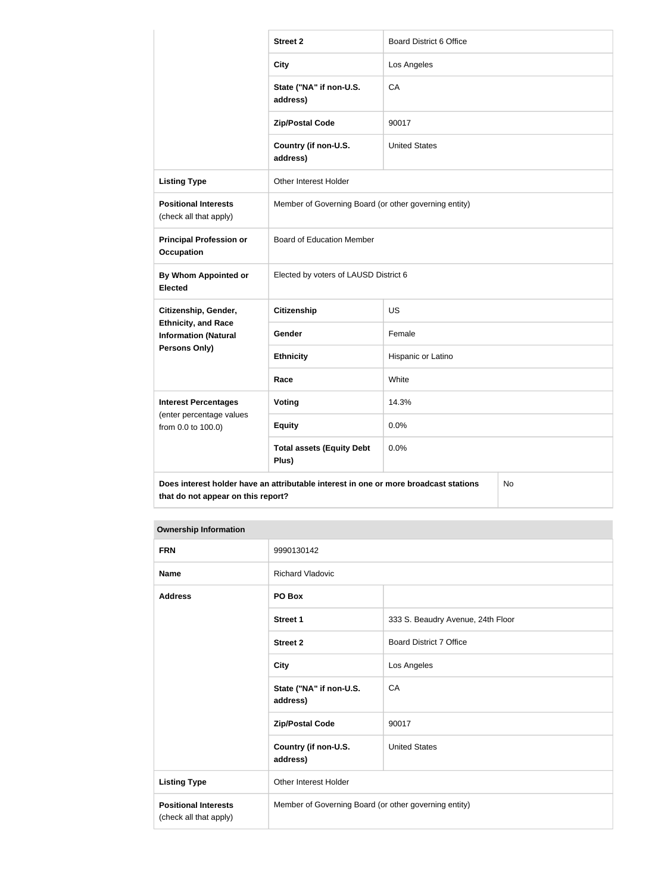|                                                                                                                                         | <b>Street 2</b>                                       | <b>Board District 6 Office</b> |  |
|-----------------------------------------------------------------------------------------------------------------------------------------|-------------------------------------------------------|--------------------------------|--|
|                                                                                                                                         | <b>City</b>                                           | Los Angeles                    |  |
|                                                                                                                                         | State ("NA" if non-U.S.<br>address)                   | CA                             |  |
|                                                                                                                                         | <b>Zip/Postal Code</b>                                | 90017                          |  |
|                                                                                                                                         | Country (if non-U.S.<br>address)                      | <b>United States</b>           |  |
| <b>Listing Type</b>                                                                                                                     | Other Interest Holder                                 |                                |  |
| <b>Positional Interests</b><br>(check all that apply)                                                                                   | Member of Governing Board (or other governing entity) |                                |  |
| <b>Principal Profession or</b><br><b>Occupation</b>                                                                                     | <b>Board of Education Member</b>                      |                                |  |
| By Whom Appointed or<br><b>Elected</b>                                                                                                  | Elected by voters of LAUSD District 6                 |                                |  |
| Citizenship, Gender,                                                                                                                    | <b>Citizenship</b>                                    | <b>US</b>                      |  |
| <b>Ethnicity, and Race</b><br><b>Information (Natural</b>                                                                               | Gender                                                | Female                         |  |
| <b>Persons Only)</b>                                                                                                                    | <b>Ethnicity</b>                                      | Hispanic or Latino             |  |
|                                                                                                                                         | Race                                                  | White                          |  |
| <b>Interest Percentages</b>                                                                                                             | Voting                                                | 14.3%                          |  |
| (enter percentage values<br>from 0.0 to 100.0)                                                                                          | <b>Equity</b>                                         | 0.0%                           |  |
|                                                                                                                                         | <b>Total assets (Equity Debt</b><br>Plus)             | 0.0%                           |  |
| Does interest holder have an attributable interest in one or more broadcast stations<br><b>No</b><br>that do not appear on this report? |                                                       |                                |  |

# **Ownership Information**

| <b>FRN</b>                                            | 9990130142                                            |                                   |
|-------------------------------------------------------|-------------------------------------------------------|-----------------------------------|
| <b>Name</b>                                           | <b>Richard Vladovic</b>                               |                                   |
| <b>Address</b>                                        | PO Box                                                |                                   |
|                                                       | <b>Street 1</b>                                       | 333 S. Beaudry Avenue, 24th Floor |
|                                                       | <b>Street 2</b>                                       | <b>Board District 7 Office</b>    |
|                                                       | <b>City</b>                                           | Los Angeles                       |
|                                                       | State ("NA" if non-U.S.<br>address)                   | CA                                |
|                                                       | <b>Zip/Postal Code</b>                                | 90017                             |
|                                                       | Country (if non-U.S.<br>address)                      | <b>United States</b>              |
| <b>Listing Type</b>                                   | Other Interest Holder                                 |                                   |
| <b>Positional Interests</b><br>(check all that apply) | Member of Governing Board (or other governing entity) |                                   |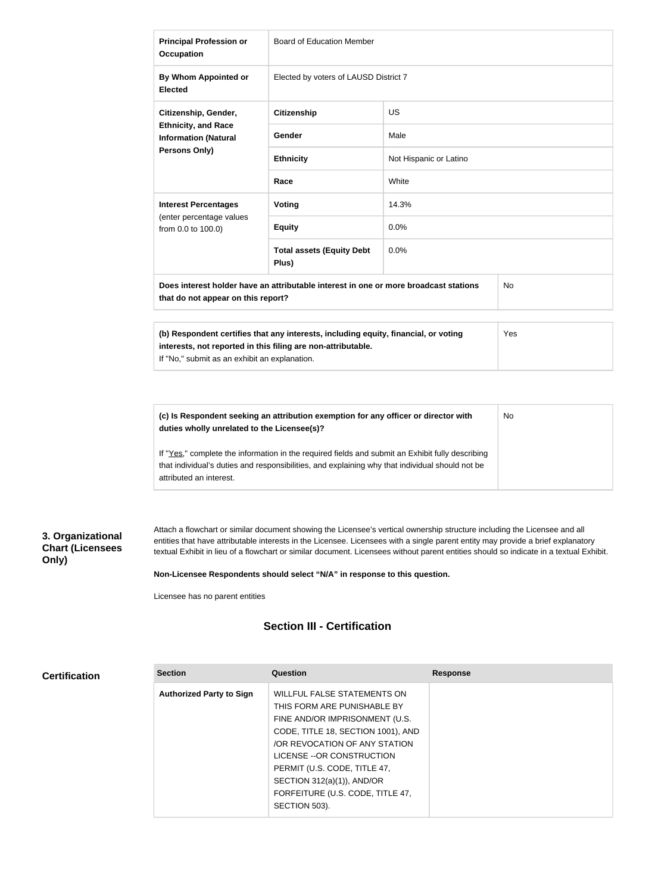| <b>Principal Profession or</b><br><b>Occupation</b>                                                                                                                                                         | <b>Board of Education Member</b>          |                        |  |
|-------------------------------------------------------------------------------------------------------------------------------------------------------------------------------------------------------------|-------------------------------------------|------------------------|--|
| By Whom Appointed or<br><b>Elected</b>                                                                                                                                                                      | Elected by voters of LAUSD District 7     |                        |  |
| Citizenship, Gender,                                                                                                                                                                                        | <b>Citizenship</b>                        | <b>US</b>              |  |
| <b>Ethnicity, and Race</b><br><b>Information (Natural</b>                                                                                                                                                   | Gender                                    | Male                   |  |
| Persons Only)                                                                                                                                                                                               | <b>Ethnicity</b>                          | Not Hispanic or Latino |  |
|                                                                                                                                                                                                             | Race                                      | White                  |  |
| <b>Interest Percentages</b>                                                                                                                                                                                 | Voting                                    | 14.3%                  |  |
| (enter percentage values<br>from 0.0 to 100.0)                                                                                                                                                              | <b>Equity</b>                             | 0.0%                   |  |
|                                                                                                                                                                                                             | <b>Total assets (Equity Debt</b><br>Plus) | 0.0%                   |  |
| Does interest holder have an attributable interest in one or more broadcast stations<br><b>No</b><br>that do not appear on this report?                                                                     |                                           |                        |  |
| Yes<br>(b) Respondent certifies that any interests, including equity, financial, or voting<br>interests, not reported in this filing are non-attributable.<br>If "No," submit as an exhibit an explanation. |                                           |                        |  |

**(c) Is Respondent seeking an attribution exemption for any officer or director with duties wholly unrelated to the Licensee(s)?** If "Yes," complete the information in the required fields and submit an Exhibit fully describing No

that individual's duties and responsibilities, and explaining why that individual should not be attributed an interest.

# **3. Organizational Chart (Licensees Only)**

**Certification**

Attach a flowchart or similar document showing the Licensee's vertical ownership structure including the Licensee and all entities that have attributable interests in the Licensee. Licensees with a single parent entity may provide a brief explanatory textual Exhibit in lieu of a flowchart or similar document. Licensees without parent entities should so indicate in a textual Exhibit.

**Non-Licensee Respondents should select "N/A" in response to this question.**

Licensee has no parent entities

# **Section III - Certification**

| <b>Section</b>                  | Question                           | <b>Response</b> |
|---------------------------------|------------------------------------|-----------------|
| <b>Authorized Party to Sign</b> | WILLFUL FALSE STATEMENTS ON        |                 |
|                                 | THIS FORM ARE PUNISHABLE BY        |                 |
|                                 | FINE AND/OR IMPRISONMENT (U.S.     |                 |
|                                 | CODE, TITLE 18, SECTION 1001), AND |                 |
|                                 | OR REVOCATION OF ANY STATION       |                 |
|                                 | LICENSE -- OR CONSTRUCTION         |                 |
|                                 | PERMIT (U.S. CODE, TITLE 47,       |                 |
|                                 | SECTION 312(a)(1)), AND/OR         |                 |
|                                 | FORFEITURE (U.S. CODE, TITLE 47,   |                 |
|                                 | SECTION 503).                      |                 |
|                                 |                                    |                 |